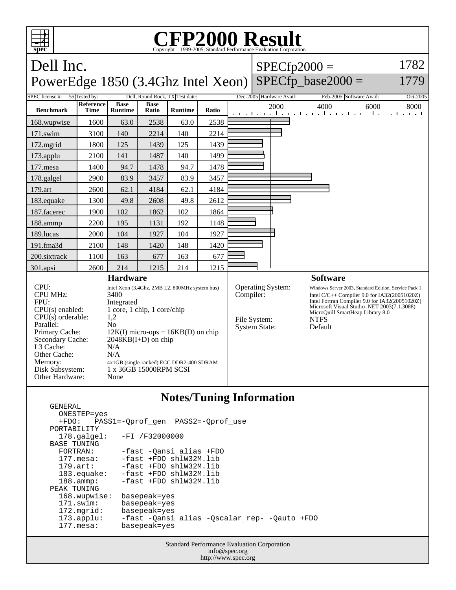

## **Notes/Tuning Information**

 GENERAL ONESTEP=yes +FDO: PASS1=-Qprof\_gen PASS2=-Qprof\_use PORTABILITY<br>178.galgel: -FI /F32000000 BASE TUNING FORTRAN: -fast -Qansi\_alias +FDO 177.mesa: -fast +FDO shlW32M.lib<br>179.art: -fast +FDO shlW32M.lib -fast +FDO shlW32M.lib 183.equake: -fast +FDO shlW32M.lib 188.ammp: -fast +FDO shlW32M.lib PEAK TUNING 168.wupwise: basepeak=yes<br>171.swim: basepeak=yes 171.swim: basepeak=yes<br>172.mgrid: basepeak=yes 172.mgrid: basepeak=yes 173.applu: -fast -Qansi\_alias -Qscalar\_rep- -Qauto +FDO 177.mesa: basepeak=yes

> Standard Performance Evaluation Corporation info@spec.org http://www.spec.org